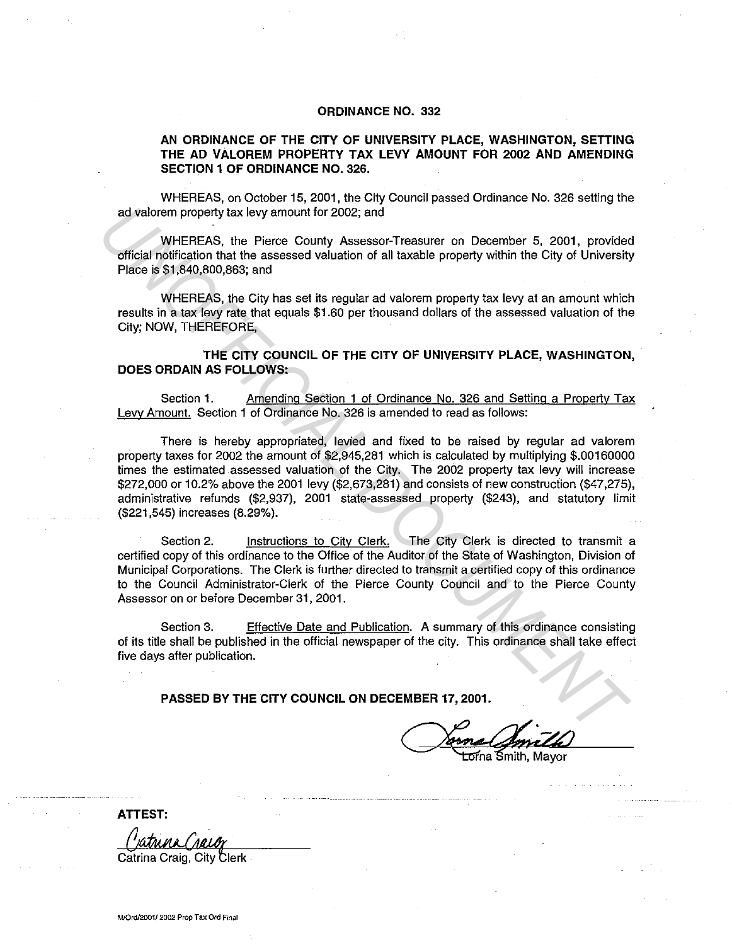## **ORDINANCE NO. 332**

## **AN ORDINANCE OF THE CITY OF UNIVERSITY PLACE, WASHINGTON, SETIING THE AD VALOREM PROPERTY TAX LEVY AMOUNT FOR 2002 AND AMENDING SECTION 1 OF ORDINANCE NO. 326.**

WHEREAS, on October 15, 2001, the City Council passed Ordinance No. 326 setting the ad valorem property tax levy amount for 2002; and

WHEREAS, the Pierce County Assessor-Treasurer on December 5, 2001, provided official notification that the assessed valuation of all taxable property within the City of University Place is \$1,840,800,863; and

WHEREAS, the City has set its regular ad valorem property tax levy at an amount which results in a tax levy rate that equals \$1.60 per thousand dollars of the assessed valuation of the City; NOW, THEREFORE,

**THE CITY COUNCIL OF THE CITY OF UNIVERSITY PLACE, WASHINGTON, DOES ORDAIN AS FOLLOWS:** 

Section **1.** Amending Section 1 of Ordinance No. 326 and Setting a Property Tax Levy Amount. Section 1 of Ordinance No. 326 is amended to read as follows:

There is hereby appropriated, levied and fixed to be raised by regular ad valorem property taxes for 2002 the amount of \$2,945,281 which is calculated by multiplying \$.00160000 times the estimated assessed valuation of the City. The 2002 property tax levy will increase \$272,000 or 10.2% above the 2001 levy (\$2,673,281) and consists of new construction (\$47,275), administrative refunds (\$2,937), 2001 state-assessed property (\$243), and statutory limit (\$221,545) increases (8.29%). ad valorem property tax levy amount for 2002; and<br>
WHEREAG, the Pierce County Assessor-Treasurer on December 5, 2001, providee<br>
official notification that the assessed valuation of all taxable property within the City of U

Section 2. Instructions to City Clerk. The City Clerk is directed to transmit a certified copy of this ordinance to the Office of the Auditor of the State of Washington, Division of Municipal Corporations. The Clerk is further directed to transmit a certified copy of this ordinance to the Council Administrator-Clerk of the Pierce County Council and to the Pierce County Assessor on or before December 31, 2001.

Section 3. Effective Date and Publication. A summary of this ordinance consisting of its title shall be published in the official newspaper of the city. This ordinance shall take effect five days after publication.

**PASSED BY THE CITY COUNCIL ON DECEMBER 17, 2001.** 

<del>Lor</del>na Śmith, Mayor

**ATIEST:** 

Catrina Craig, City Clerk

**M/Ord/2001/ 2002 Prop Tax Ord Final**